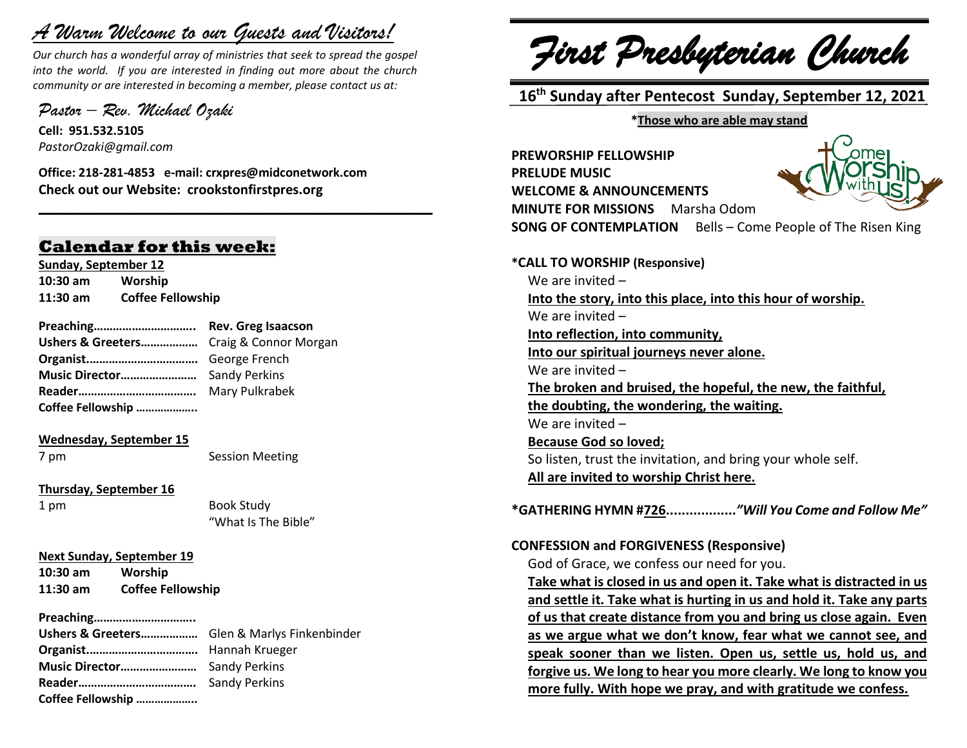# *A Warm Welcome to our Guests and Visitors!*

*Our church has a wonderful array of ministries that seek to spread the gospel into the world. If you are interested in finding out more about the church community or are interested in becoming a member, please contact us at:*

**\_\_\_\_\_\_\_\_\_\_\_\_\_\_\_\_\_\_\_\_\_\_\_\_\_\_\_\_\_\_\_\_\_\_\_\_\_\_\_\_\_\_\_\_\_\_\_\_\_\_\_\_\_\_**

*Pastor – Rev. Michael Ozaki* 

**Cell: 951.532.5105** *PastorOzaki@gmail.com*

**Office: 218-281-4853 e-mail: crxpres@midconetwork.com Check out our Website: crookstonfirstpres.org**

## **Calendar for this week:**

**Sunday, September 12 10:30 am Worship 11:30 am Coffee Fellowship**

**Preaching………………………….. Rev. Greg Isaacson Ushers & Greeters………………** Craig & Connor Morgan **Organist.…………………………….** George French **Music Director……………………** Sandy Perkins **Reader……………………………….** Mary Pulkrabek **Coffee Fellowship ………………..**

#### **Wednesday, September 15**

7 pm Session Meeting

**Thursday, September 16**

1 pm Book Study "What Is The Bible"

**Next Sunday, September 19**

**10:30 am Worship 11:30 am Coffee Fellowship**

**Preaching…………………………..**

**Ushers & Greeters………………** Glen & Marlys Finkenbinder **Organist.…………………………….** Hannah Krueger **Music Director……………………** Sandy Perkins **Reader……………………………….** Sandy Perkins **Coffee Fellowship ………………..**

*First Presbyterian Church*

 **16 th Sunday after Pentecost Sunday, September 12, 2021**

**\*Those who are able may stand**

**PREWORSHIP FELLOWSHIP PRELUDE MUSIC WELCOME & ANNOUNCEMENTS MINUTE FOR MISSIONS** Marsha Odom



**SONG OF CONTEMPLATION** Bells – Come People of The Risen King

**\*CALL TO WORSHIP (Responsive)** We are invited – **Into the story, into this place, into this hour of worship.** We are invited – **Into reflection, into community, Into our spiritual journeys never alone.** We are invited – **The broken and bruised, the hopeful, the new, the faithful, the doubting, the wondering, the waiting.** We are invited – **Because God so loved;** So listen, trust the invitation, and bring your whole self. **All are invited to worship Christ here.**

**\*GATHERING HYMN #726..................***"Will You Come and Follow Me"*

#### **CONFESSION and FORGIVENESS (Responsive)**

God of Grace, we confess our need for you.

**Take what is closed in us and open it. Take what is distracted in us and settle it. Take what is hurting in us and hold it. Take any parts of us that create distance from you and bring us close again. Even as we argue what we don't know, fear what we cannot see, and speak sooner than we listen. Open us, settle us, hold us, and forgive us. We long to hear you more clearly. We long to know you more fully. With hope we pray, and with gratitude we confess.**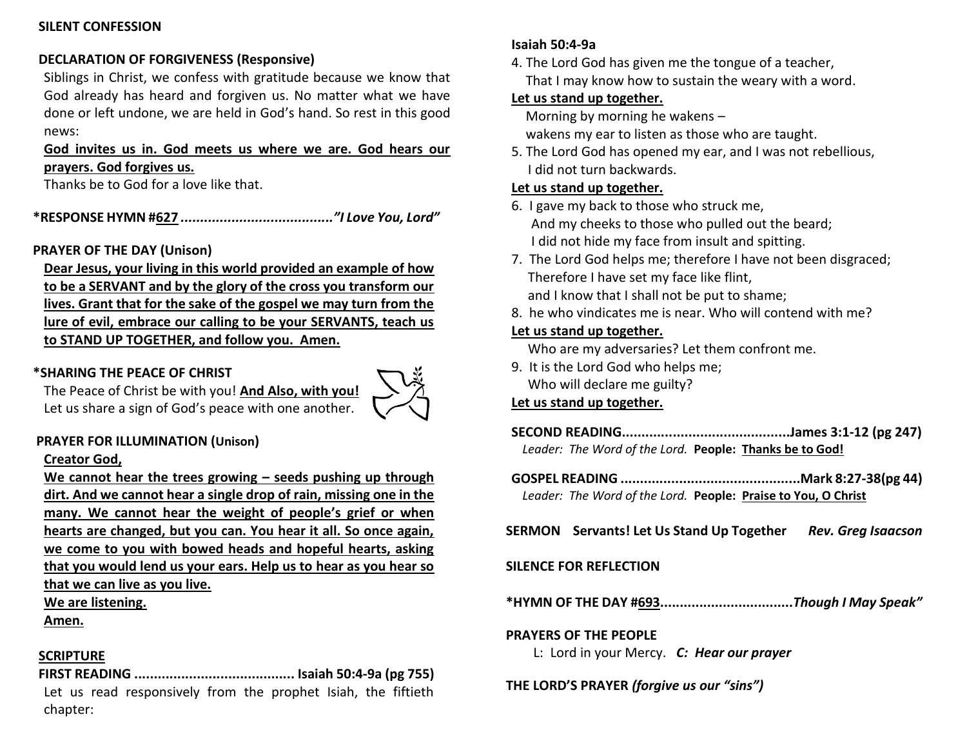#### **SILENT CONFESSION**

## **DECLARATION OF FORGIVENESS (Responsive)**

Siblings in Christ, we confess with gratitude because we know that God already has heard and forgiven us. No matter what we have done or left undone, we are held in God's hand. So rest in this good news:

#### **God invites us in. God meets us where we are. God hears our prayers. God forgives us.**

Thanks be to God for a love like that.

**\*RESPONSE HYMN #627** *......................................."I Love You, Lord"*

## **PRAYER OF THE DAY (Unison)**

**Dear Jesus, your living in this world provided an example of how to be a SERVANT and by the glory of the cross you transform our lives. Grant that for the sake of the gospel we may turn from the lure of evil, embrace our calling to be your SERVANTS, teach us to STAND UP TOGETHER, and follow you. Amen.**

## **\*SHARING THE PEACE OF CHRIST**



The Peace of Christ be with you! **And Also, with you!** Let us share a sign of God's peace with one another.

### **PRAYER FOR ILLUMINATION (Unison)**

#### **Creator God,**

**We cannot hear the trees growing – seeds pushing up through dirt. And we cannot hear a single drop of rain, missing one in the many. We cannot hear the weight of people's grief or when hearts are changed, but you can. You hear it all. So once again, we come to you with bowed heads and hopeful hearts, asking that you would lend us your ears. Help us to hear as you hear so that we can live as you live.** 

## **We are listening.**

**Amen.**

### **SCRIPTURE**

**FIRST READING ......................................... Isaiah 50:4-9a (pg 755)** Let us read responsively from the prophet Isiah, the fiftieth chapter:

#### **Isaiah 50:4-9a**

4. The Lord God has given me the tongue of a teacher, That I may know how to sustain the weary with a word.

#### **Let us stand up together.**

Morning by morning he wakens –

wakens my ear to listen as those who are taught.

5. The Lord God has opened my ear, and I was not rebellious, I did not turn backwards.

#### **Let us stand up together.**

- 6. I gave my back to those who struck me, And my cheeks to those who pulled out the beard; I did not hide my face from insult and spitting.
- 7. The Lord God helps me; therefore I have not been disgraced; Therefore I have set my face like flint, and I know that I shall not be put to shame;
- 8. he who vindicates me is near. Who will contend with me?

#### **Let us stand up together.**

Who are my adversaries? Let them confront me.

9. It is the Lord God who helps me; Who will declare me guilty?

#### **Let us stand up together.**

**SECOND READING...........................................James 3:1-12 (pg 247)** *Leader: The Word of the Lord.* **People: Thanks be to God!**

**GOSPEL READING ..............................................Mark 8:27-38(pg 44)** *Leader: The Word of the Lord.* **People: Praise to You, O Christ**

**SERMON Servants! Let Us Stand Up Together** *Rev. Greg Isaacson*

#### **SILENCE FOR REFLECTION**

**\*HYMN OF THE DAY #693..................................***Though I May Speak"*

#### **PRAYERS OF THE PEOPLE**

L: Lord in your Mercy. *C: Hear our prayer*

**THE LORD'S PRAYER** *(forgive us our "sins")*